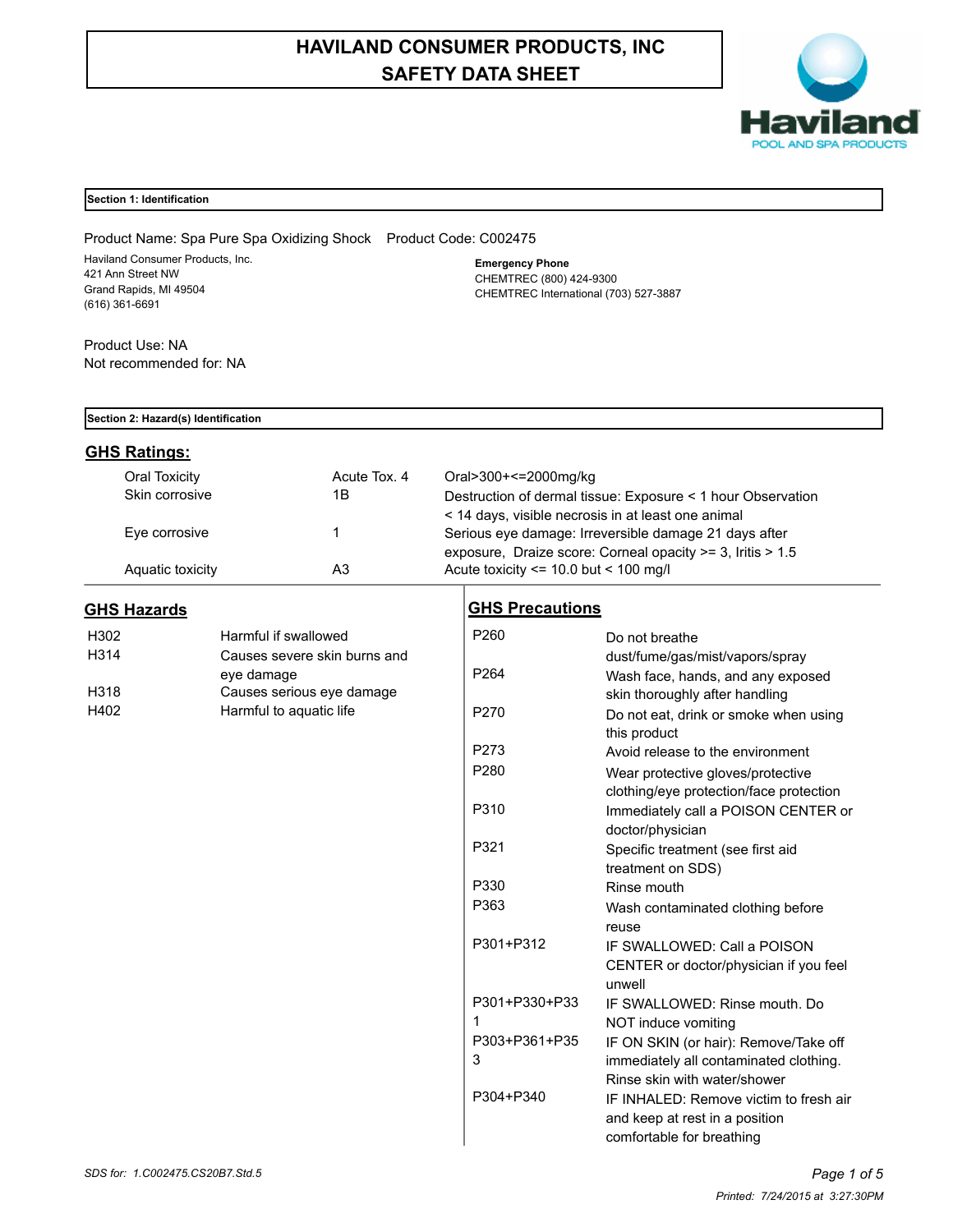# **HAVILAND CONSUMER PRODUCTS, INC SAFETY DATA SHEET**



## **Section 1: Identification**

Product Name: Spa Pure Spa Oxidizing Shock Product Code: C002475 Haviland Consumer Products, Inc. 421 Ann Street NW Grand Rapids, MI 49504 (616) 361-6691

**Emergency Phone** CHEMTREC (800) 424-9300 CHEMTREC International (703) 527-3887

Product Use: NA Not recommended for: NA

### **Section 2: Hazard(s) Identification**

## **GHS Ratings:**

| Oral Toxicity    | Acute Tox, 4 | Oral>300+<=2000mg/kg                                           |
|------------------|--------------|----------------------------------------------------------------|
| Skin corrosive   | 1Β           | Destruction of dermal tissue: Exposure < 1 hour Observation    |
|                  |              | < 14 days, visible necrosis in at least one animal             |
| Eye corrosive    |              | Serious eye damage: Irreversible damage 21 days after          |
|                  |              | exposure. Draize score: Corneal opacity $>=$ 3. Iritis $>$ 1.5 |
| Aquatic toxicity | A3           | Acute toxicity $\le$ 10.0 but $\le$ 100 mg/l                   |

## **GHS Hazards**

| H302              | Harmful if swallowed         |
|-------------------|------------------------------|
| H <sub>3</sub> 14 | Causes severe skin burns and |
|                   | eye damage                   |
| H318              | Causes serious eye damage    |
| H402              | Harmful to aguatic life      |

| P <sub>260</sub> | Do not breathe                          |
|------------------|-----------------------------------------|
|                  | dust/fume/gas/mist/vapors/spray         |
| P <sub>264</sub> | Wash face, hands, and any exposed       |
|                  | skin thoroughly after handling          |
| P270             | Do not eat, drink or smoke when using   |
|                  | this product                            |
| P273             | Avoid release to the environment        |
| P280             | Wear protective gloves/protective       |
|                  | clothing/eye protection/face protection |
| P310             | Immediately call a POISON CENTER or     |
|                  | doctor/physician                        |
| P321             | Specific treatment (see first aid       |
|                  | treatment on SDS)                       |
| P330             | Rinse mouth                             |
| P363             | Wash contaminated clothing before       |
|                  | reuse                                   |
| P301+P312        | IF SWALLOWED: Call a POISON             |
|                  | CENTER or doctor/physician if you feel  |
|                  | unwell                                  |
| P301+P330+P33    | IF SWALLOWED: Rinse mouth, Do           |
| 1                | NOT induce vomiting                     |
| P303+P361+P35    | IF ON SKIN (or hair): Remove/Take off   |
| 3                | immediately all contaminated clothing.  |
|                  | Rinse skin with water/shower            |
| P304+P340        | IF INHALED: Remove victim to fresh air  |
|                  | and keep at rest in a position          |
|                  | comfortable for breathing               |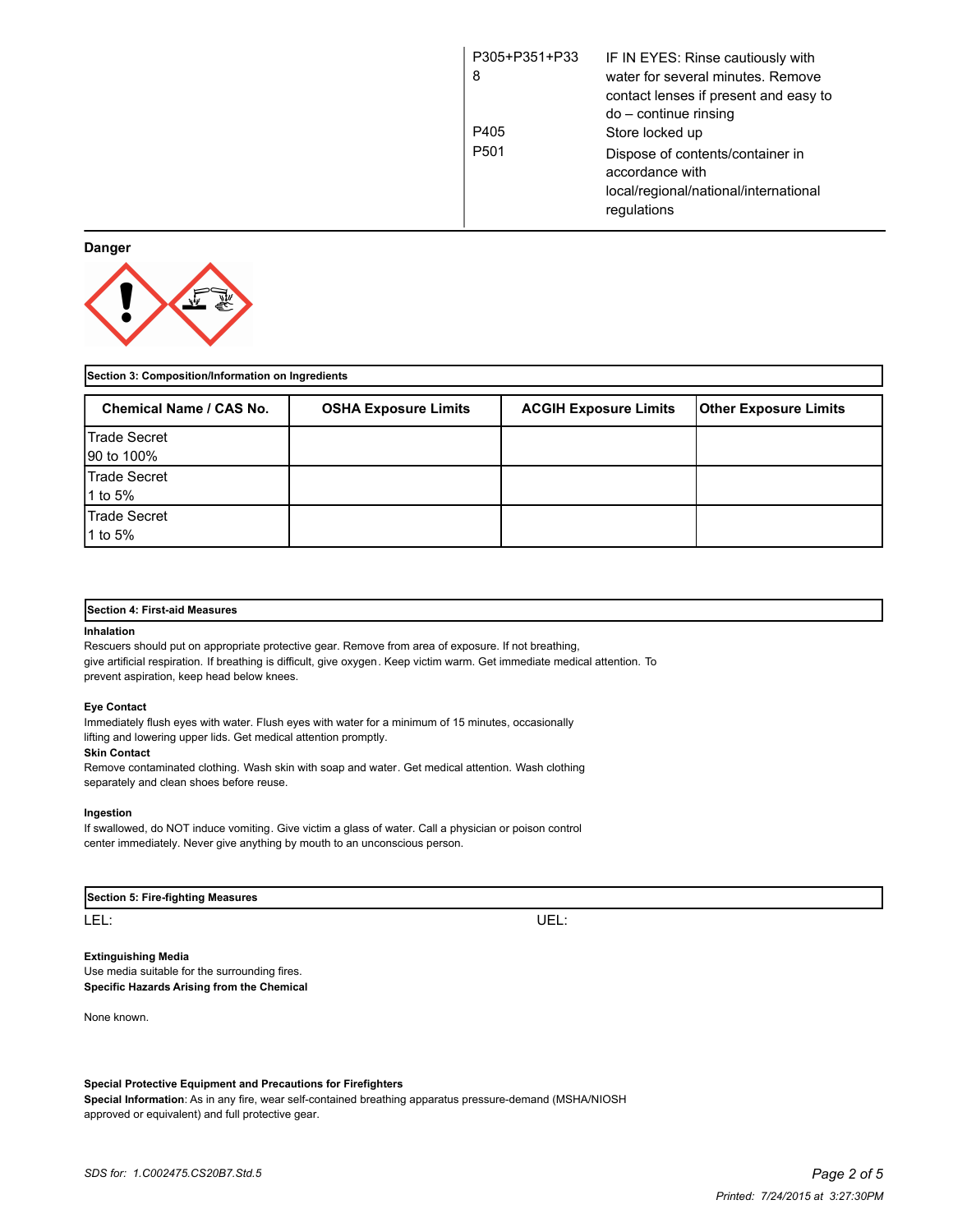| P305+P351+P33<br>8 | IF IN EYES: Rinse cautiously with<br>water for several minutes. Remove<br>contact lenses if present and easy to<br>do – continue rinsing |
|--------------------|------------------------------------------------------------------------------------------------------------------------------------------|
| P405               | Store locked up                                                                                                                          |
| P <sub>501</sub>   | Dispose of contents/container in<br>accordance with<br>local/regional/national/international<br>regulations                              |

**Danger**



| Section 3: Composition/Information on Ingredients |                             |                              |                              |  |
|---------------------------------------------------|-----------------------------|------------------------------|------------------------------|--|
| <b>Chemical Name / CAS No.</b>                    | <b>OSHA Exposure Limits</b> | <b>ACGIH Exposure Limits</b> | <b>Other Exposure Limits</b> |  |
| Trade Secret<br>90 to 100%                        |                             |                              |                              |  |
| Trade Secret<br>1 to 5%                           |                             |                              |                              |  |
| Trade Secret<br>1 to 5%                           |                             |                              |                              |  |

#### **Section 4: First-aid Measures**

#### **Inhalation**

Rescuers should put on appropriate protective gear. Remove from area of exposure. If not breathing, give artificial respiration. If breathing is difficult, give oxygen. Keep victim warm. Get immediate medical attention. To prevent aspiration, keep head below knees.

#### **Eye Contact**

Immediately flush eyes with water. Flush eyes with water for a minimum of 15 minutes, occasionally lifting and lowering upper lids. Get medical attention promptly.

#### **Skin Contact**

Remove contaminated clothing. Wash skin with soap and water. Get medical attention. Wash clothing separately and clean shoes before reuse.

#### **Ingestion**

If swallowed, do NOT induce vomiting. Give victim a glass of water. Call a physician or poison control center immediately. Never give anything by mouth to an unconscious person.

| Section 5: Fire-fighting Measures |  |
|-----------------------------------|--|
|-----------------------------------|--|

LEL: UEL:

**Extinguishing Media** Use media suitable for the surrounding fires. **Specific Hazards Arising from the Chemical**

None known.

**Special Protective Equipment and Precautions for Firefighters Special Information**: As in any fire, wear self-contained breathing apparatus pressure-demand (MSHA/NIOSH approved or equivalent) and full protective gear.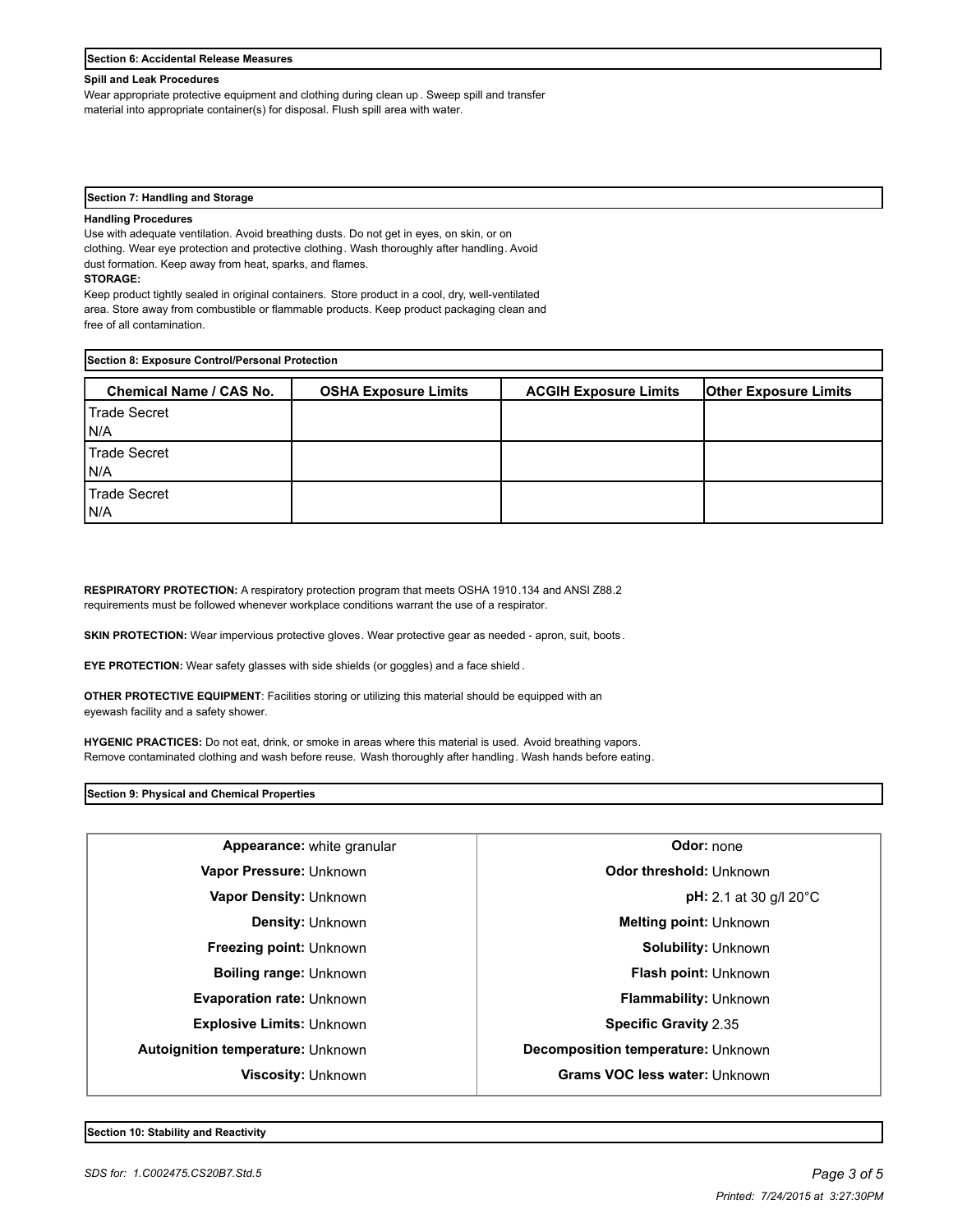|  | area. Store away from combustible or flammable products. Keep product packaging clean and |  |  |
|--|-------------------------------------------------------------------------------------------|--|--|
|--|-------------------------------------------------------------------------------------------|--|--|

**STORAGE:**

free of all contamination.

**Handling Procedures**

| Section 8: Exposure Control/Personal Protection |                             |                              |                              |  |
|-------------------------------------------------|-----------------------------|------------------------------|------------------------------|--|
| <b>Chemical Name / CAS No.</b>                  | <b>OSHA Exposure Limits</b> | <b>ACGIH Exposure Limits</b> | <b>Other Exposure Limits</b> |  |
| l Trade Secret<br>IN/A                          |                             |                              |                              |  |
| Trade Secret<br>IN/A                            |                             |                              |                              |  |
| Trade Secret<br>IN/A                            |                             |                              |                              |  |

**RESPIRATORY PROTECTION:** A respiratory protection program that meets OSHA 1910.134 and ANSI Z88.2 requirements must be followed whenever workplace conditions warrant the use of a respirator.

**SKIN PROTECTION:** Wear impervious protective gloves. Wear protective gear as needed - apron, suit, boots.

**EYE PROTECTION:** Wear safety glasses with side shields (or goggles) and a face shield .

**OTHER PROTECTIVE EQUIPMENT**: Facilities storing or utilizing this material should be equipped with an eyewash facility and a safety shower.

**HYGENIC PRACTICES:** Do not eat, drink, or smoke in areas where this material is used. Avoid breathing vapors. Remove contaminated clothing and wash before reuse. Wash thoroughly after handling. Wash hands before eating.

**Section 9: Physical and Chemical Properties**

| Appearance: white granular               | Odor: none                               |  |
|------------------------------------------|------------------------------------------|--|
| Vapor Pressure: Unknown                  | Odor threshold: Unknown                  |  |
| <b>Vapor Density: Unknown</b>            | <b>pH:</b> 2.1 at 30 g/l 20 $^{\circ}$ C |  |
| <b>Density: Unknown</b>                  | <b>Melting point: Unknown</b>            |  |
| Freezing point: Unknown                  | Solubility: Unknown                      |  |
| <b>Boiling range: Unknown</b>            | <b>Flash point: Unknown</b>              |  |
| <b>Evaporation rate: Unknown</b>         | <b>Flammability: Unknown</b>             |  |
| <b>Explosive Limits: Unknown</b>         | <b>Specific Gravity 2.35</b>             |  |
| <b>Autoignition temperature: Unknown</b> | Decomposition temperature: Unknown       |  |
| <b>Viscosity: Unknown</b>                | <b>Grams VOC less water: Unknown</b>     |  |
|                                          |                                          |  |

**Section 6: Accidental Release Measures**

#### **Spill and Leak Procedures**

**Section 7: Handling and Storage**

dust formation. Keep away from heat, sparks, and flames.

Wear appropriate protective equipment and clothing during clean up . Sweep spill and transfer material into appropriate container(s) for disposal. Flush spill area with water.

Use with adequate ventilation. Avoid breathing dusts. Do not get in eyes, on skin, or on clothing. Wear eye protection and protective clothing. Wash thoroughly after handling. Avoid

Keep product tightly sealed in original containers. Store product in a cool, dry, well-ventilated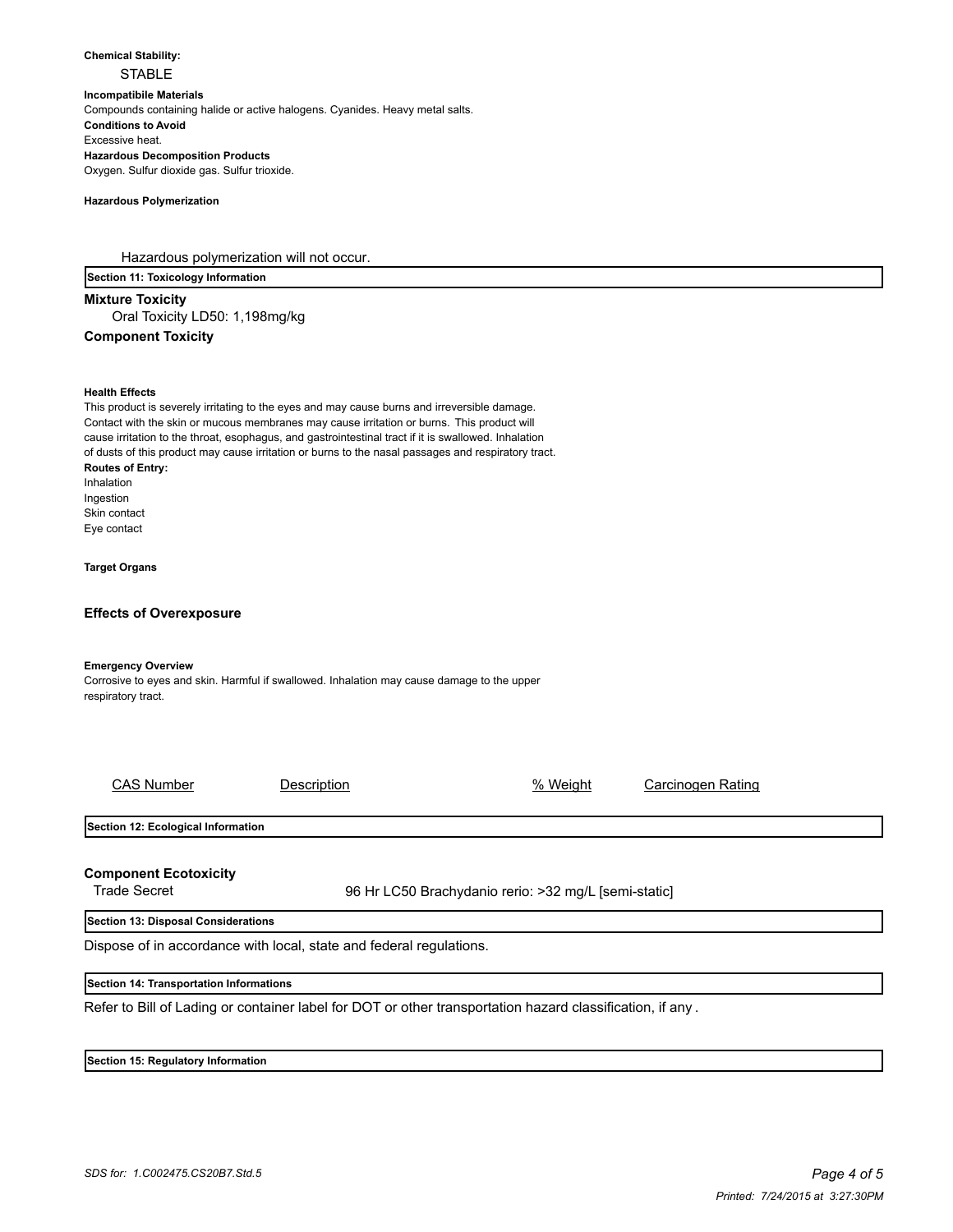**Chemical Stability: STABLE Incompatibile Materials**  Compounds containing halide or active halogens. Cyanides. Heavy metal salts. **Conditions to Avoid** Excessive heat. **Hazardous Decomposition Products** Oxygen. Sulfur dioxide gas. Sulfur trioxide.

#### **Hazardous Polymerization**

Hazardous polymerization will not occur.

**Section 11: Toxicology Information**

**Mixture Toxicity** Oral Toxicity LD50: 1,198mg/kg **Component Toxicity**

#### **Health Effects**

This product is severely irritating to the eyes and may cause burns and irreversible damage. Contact with the skin or mucous membranes may cause irritation or burns. This product will cause irritation to the throat, esophagus, and gastrointestinal tract if it is swallowed. Inhalation of dusts of this product may cause irritation or burns to the nasal passages and respiratory tract. **Routes of Entry:** Inhalation Ingestion Skin contact Eye contact

**Target Organs**

#### **Effects of Overexposure**

#### **Emergency Overview**

Corrosive to eyes and skin. Harmful if swallowed. Inhalation may cause damage to the upper respiratory tract.

| <b>CAS Number</b>                                   | Description                                                         | % Weight                                             | Carcinogen Rating |  |
|-----------------------------------------------------|---------------------------------------------------------------------|------------------------------------------------------|-------------------|--|
| Section 12: Ecological Information                  |                                                                     |                                                      |                   |  |
| <b>Component Ecotoxicity</b><br><b>Trade Secret</b> |                                                                     | 96 Hr LC50 Brachydanio rerio: >32 mg/L [semi-static] |                   |  |
| Section 13: Disposal Considerations                 |                                                                     |                                                      |                   |  |
|                                                     | Dispose of in accordance with local, state and federal regulations. |                                                      |                   |  |

## **Section 14: Transportation Informations**

Refer to Bill of Lading or container label for DOT or other transportation hazard classification, if any .

#### **Section 15: Regulatory Information**